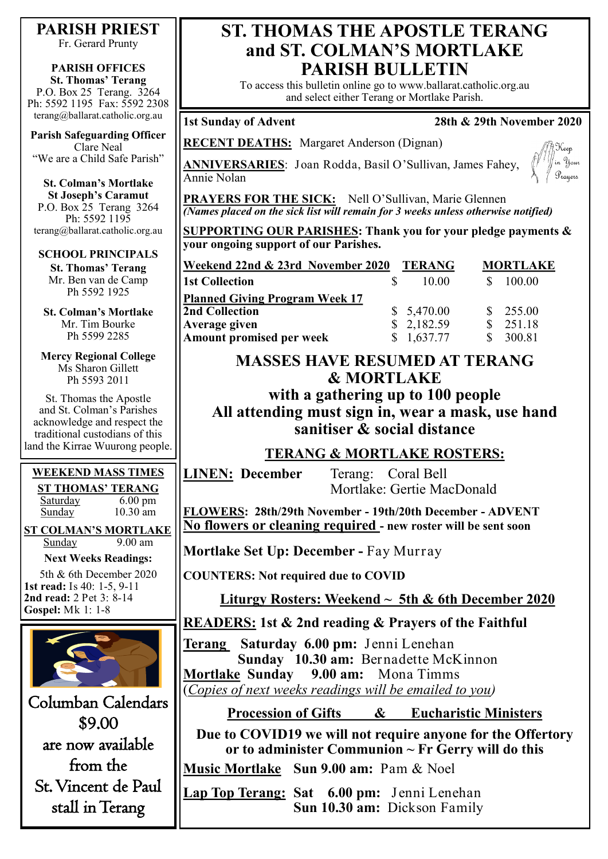## **PARISH PRIEST**

Fr. Gerard Prunty

### **PARISH OFFICES St. Thomas' Terang**

P.O. Box 25 Terang. 3264 Ph: 5592 1195 Fax: 5592 2308 terang@ballarat.catholic.org.au

**Parish Safeguarding Officer** Clare Neal "We are a Child Safe Parish"

**St. Colman's Mortlake St Joseph's Caramut** P.O. Box 25 Terang 3264 Ph: 5592 1195 terang@ballarat.catholic.org.au

### **SCHOOL PRINCIPALS**

**St. Thomas' Terang** Mr. Ben van de Camp Ph 5592 1925

**St. Colman's Mortlake** Mr. Tim Bourke Ph 5599 2285

**Mercy Regional College** Ms Sharon Gillett Ph 5593 2011

St. Thomas the Apostle and St. Colman's Parishes acknowledge and respect the traditional custodians of this land the Kirrae Wuurong people.

## **WEEKEND MASS TIMES ST THOMAS' TERANG**

Saturday 6.00 pm Sunday 10.30 am

**ST COLMAN'S MORTLAKE**<br>Sunday 9.00 am Sunday

**Next Weeks Readings:**

5th & 6th December 2020 **1st read:** Is 40: 1-5, 9-11 **2nd read:** 2 Pet 3: 8-14 **Gospel:** Mk 1: 1-8



Columban Calendars \$9.00 are now available from the St. Vincent de Paul stall in Terang

# **ST. THOMAS THE APOSTLE TERANG and ST. COLMAN'S MORTLAKE PARISH BULLETIN**

To access this bulletin online go to www.ballarat.catholic.org.au and select either Terang or Mortlake Parish.

## **1st Sunday of Advent 28th & 29th November 2020**

**RECENT DEATHS:** Margaret Anderson (Dignan)

**ANNIVERSARIES**: Joan Rodda, Basil O'Sullivan, James Fahey, Annie Nolan



PRAYERS FOR THE SICK: Nell O'Sullivan, Marie Glennen *(Names placed on the sick list will remain for 3 weeks unless otherwise notified)*

**SUPPORTING OUR PARISHES: Thank you for your pledge payments & your ongoing support of our Parishes.** 

| Weekend 22nd & 23rd November 2020         |  | <b>TERANG</b> | <b>MORTLAKE</b> |          |
|-------------------------------------------|--|---------------|-----------------|----------|
| 1st Collection                            |  | 10.00         |                 | 100.00   |
| <u>   Planned Giving Program Week 17</u>  |  |               |                 |          |
| 2nd Collection                            |  | \$5,470.00    |                 | \$255.00 |
|                                           |  | \$2,182.59    |                 | 251.18   |
| Average given<br>Amount promised per week |  | 1,637.77      |                 | 300.81   |

# **MASSES HAVE RESUMED AT TERANG & MORTLAKE**

**with a gathering up to 100 people All attending must sign in, wear a mask, use hand sanitiser & social distance**

## **TERANG & MORTLAKE ROSTERS:**

**LINEN: December** Terang: Coral Bell

Mortlake: Gertie MacDonald

**FLOWERS: 28th/29th November - 19th/20th December - ADVENT No flowers or cleaning required - new roster will be sent soon**

**Mortlake Set Up: December -** Fay Murray

**COUNTERS: Not required due to COVID**

**Liturgy Rosters: Weekend ~ 5th & 6th December 2020**

**READERS: 1st & 2nd reading & Prayers of the Faithful**

**Terang Saturday 6.00 pm:** Jenni Lenehan  **Sunday 10.30 am:** Bernadette McKinnon **Mortlake Sunday 9.00 am:** Mona Timms (*Copies of next weeks readings will be emailed to you)*

**Procession of Gifts & Eucharistic Ministers**

**Due to COVID19 we will not require anyone for the Offertory or to administer Communion ~ Fr Gerry will do this**

**Music Mortlake Sun 9.00 am:** Pam & Noel

**Lap Top Terang: Sat 6.00 pm:** Jenni Lenehan **Sun 10.30 am:** Dickson Family